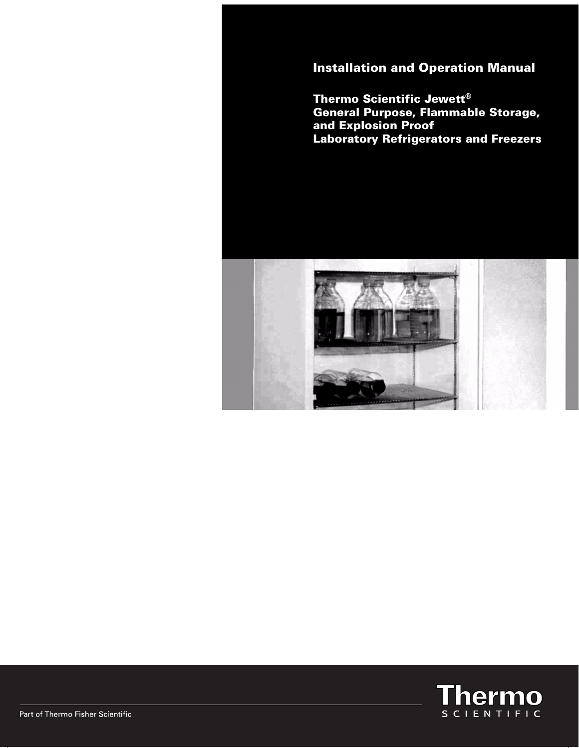Installation and Operation Manual

Thermo Scientific Jewett® General Purpose, Flammable Storage, and Explosion Proof Laboratory Refrigerators and Freezers



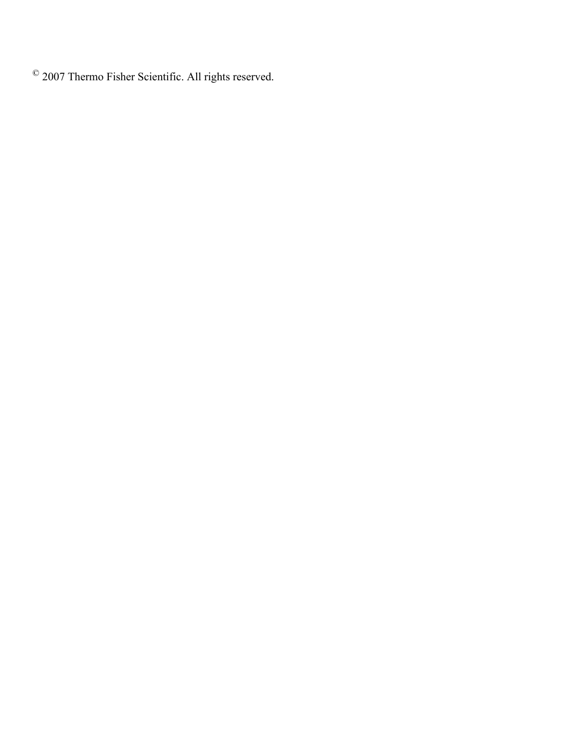© 2007 Thermo Fisher Scientific. All rights reserved.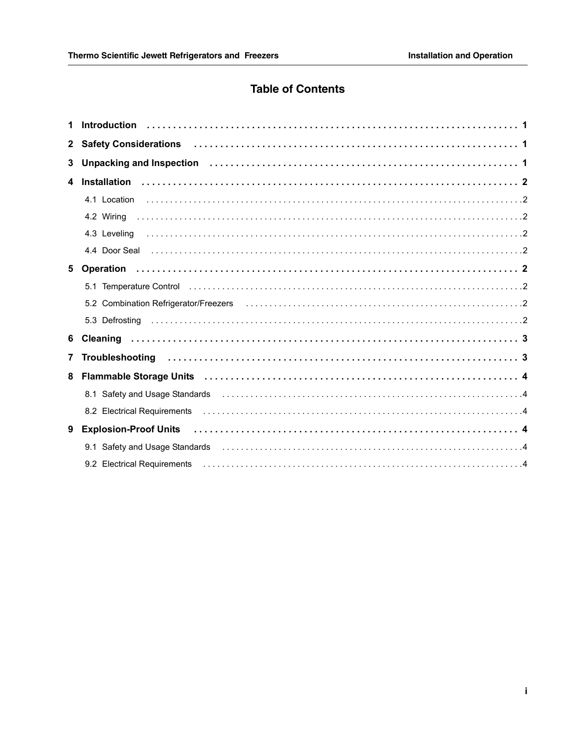# **Table of Contents**

| $\mathbf{2}$ | Safety Considerations (and all contacts are considered as a set of the considerations of the constraint of the                                                                                                                 |  |
|--------------|--------------------------------------------------------------------------------------------------------------------------------------------------------------------------------------------------------------------------------|--|
| 3            | Unpacking and Inspection (and all and all and all and all and all and all and all and all and all and all and t                                                                                                                |  |
| 4            |                                                                                                                                                                                                                                |  |
|              |                                                                                                                                                                                                                                |  |
|              |                                                                                                                                                                                                                                |  |
|              |                                                                                                                                                                                                                                |  |
|              | 4.4 Door Seal 2000 Seal 2000 Search 2000 Seal 2000 Search 2000 Seal 2000 Seal 2000 Seal 2000 Seal 2000 Seal 2000 Seal 2000 Seal 2000 Seal 2000 Seal 2000 Seal 2000 Seal 2000 Seal 2000 Seal 2000 Seal 2000 Seal 2000 Seal 2000 |  |
| 5            |                                                                                                                                                                                                                                |  |
|              |                                                                                                                                                                                                                                |  |
|              | 5.2 Combination Refrigerator/Freezers (and accommodation of the comparator of the combination Refrigerator/Freezers (and accommodation of the comparator of the comparator of the comparator of the comparator of the comparat |  |
|              |                                                                                                                                                                                                                                |  |
| 6            |                                                                                                                                                                                                                                |  |
| 7            |                                                                                                                                                                                                                                |  |
| 8            |                                                                                                                                                                                                                                |  |
|              | 8.1 Safety and Usage Standards (etc.) (2008) (2010) (3.4 Safety and Usage Standards (2011) (3.4 Safety and Usage Standards (2011) (3.4 Safety and Discovery Aug. 2013)                                                         |  |
|              |                                                                                                                                                                                                                                |  |
| 9            |                                                                                                                                                                                                                                |  |
|              | 9.1 Safety and Usage Standards (etc.) (2008) (2012) 3.1 Safety and Usage Standards (2012) 3.1 Safety and Usage Standards (2013) 3.1 September 2013 (2014) 3.1 September 2013 (2014) 3.1 September 2013 (2014) 3.1 September 20 |  |
|              |                                                                                                                                                                                                                                |  |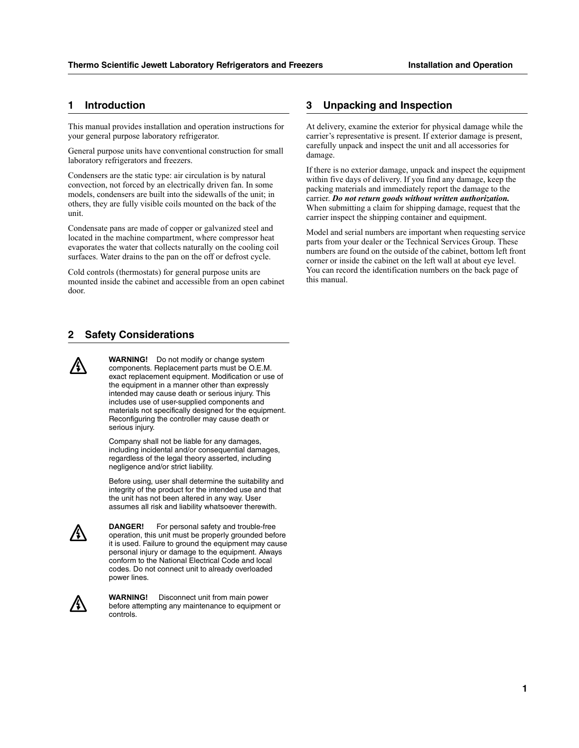## **1 Introduction**

This manual provides installation and operation instructions for your general purpose laboratory refrigerator.

General purpose units have conventional construction for small laboratory refrigerators and freezers.

Condensers are the static type: air circulation is by natural convection, not forced by an electrically driven fan. In some models, condensers are built into the sidewalls of the unit; in others, they are fully visible coils mounted on the back of the unit.

Condensate pans are made of copper or galvanized steel and located in the machine compartment, where compressor heat evaporates the water that collects naturally on the cooling coil surfaces. Water drains to the pan on the off or defrost cycle.

Cold controls (thermostats) for general purpose units are mounted inside the cabinet and accessible from an open cabinet door.

## **2 Safety Considerations**

**WARNING!** Do not modify or change system components. Replacement parts must be O.E.M. exact replacement equipment. Modification or use of the equipment in a manner other than expressly intended may cause death or serious injury. This includes use of user-supplied components and materials not specifically designed for the equipment. Reconfiguring the controller may cause death or serious injury.

Company shall not be liable for any damages, including incidental and/or consequential damages, regardless of the legal theory asserted, including negligence and/or strict liability.

Before using, user shall determine the suitability and integrity of the product for the intended use and that the unit has not been altered in any way. User assumes all risk and liability whatsoever therewith.



/{\

**DANGER!** For personal safety and trouble-free operation, this unit must be properly grounded before it is used. Failure to ground the equipment may cause personal injury or damage to the equipment. Always conform to the National Electrical Code and local codes. Do not connect unit to already overloaded power lines.



**WARNING!** Disconnect unit from main power before attempting any maintenance to equipment or controls.

## **3 Unpacking and Inspection**

At delivery, examine the exterior for physical damage while the carrier's representative is present. If exterior damage is present, carefully unpack and inspect the unit and all accessories for damage.

If there is no exterior damage, unpack and inspect the equipment within five days of delivery. If you find any damage, keep the packing materials and immediately report the damage to the carrier. *Do not return goods without written authorization.* When submitting a claim for shipping damage, request that the carrier inspect the shipping container and equipment.

Model and serial numbers are important when requesting service parts from your dealer or the Technical Services Group. These numbers are found on the outside of the cabinet, bottom left front corner or inside the cabinet on the left wall at about eye level. You can record the identification numbers on the back page of this manual.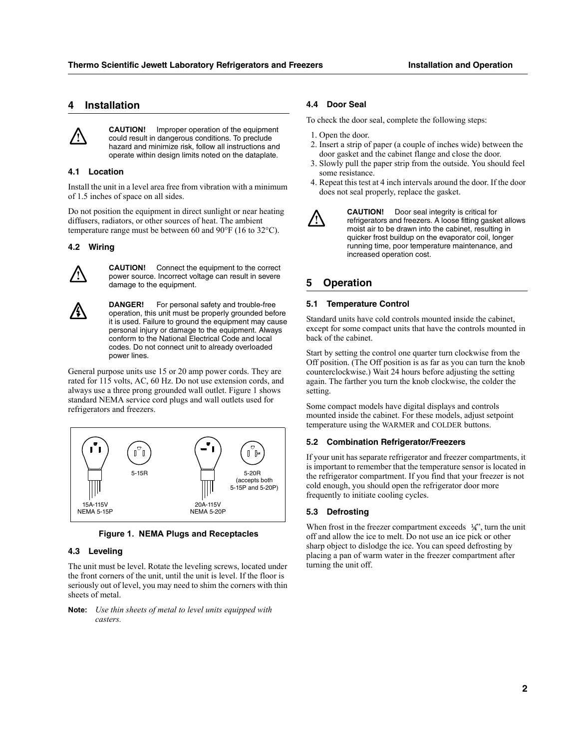## **4 Installation**



**CAUTION!** Improper operation of the equipment could result in dangerous conditions. To preclude hazard and minimize risk, follow all instructions and operate within design limits noted on the dataplate.

#### **4.1 Location**

Install the unit in a level area free from vibration with a minimum of 1.5 inches of space on all sides.

Do not position the equipment in direct sunlight or near heating diffusers, radiators, or other sources of heat. The ambient temperature range must be between 60 and 90°F (16 to 32°C).

#### **4.2 Wiring**



**CAUTION!** Connect the equipment to the correct power source. Incorrect voltage can result in severe damage to the equipment.

**DANGER!** For personal safety and trouble-free operation, this unit must be properly grounded before it is used. Failure to ground the equipment may cause personal injury or damage to the equipment. Always conform to the National Electrical Code and local codes. Do not connect unit to already overloaded power lines.

General purpose units use 15 or 20 amp power cords. They are rated for 115 volts, AC, 60 Hz. Do not use extension cords, and always use a three prong grounded wall outlet. Figure 1 shows standard NEMA service cord plugs and wall outlets used for refrigerators and freezers.





### **4.3 Leveling**

The unit must be level. Rotate the leveling screws, located under the front corners of the unit, until the unit is level. If the floor is seriously out of level, you may need to shim the corners with thin sheets of metal.

#### **Note:** *Use thin sheets of metal to level units equipped with casters.*

## **4.4 Door Seal**

To check the door seal, complete the following steps:

- 1. Open the door.
- 2. Insert a strip of paper (a couple of inches wide) between the door gasket and the cabinet flange and close the door.
- 3. Slowly pull the paper strip from the outside. You should feel some resistance.
- 4. Repeat this test at 4 inch intervals around the door. If the door does not seal properly, replace the gasket.

**CAUTION!** Door seal integrity is critical for refrigerators and freezers. A loose fitting gasket allows moist air to be drawn into the cabinet, resulting in quicker frost buildup on the evaporator coil, longer running time, poor temperature maintenance, and increased operation cost.

## **5 Operation**

#### **5.1 Temperature Control**

Standard units have cold controls mounted inside the cabinet, except for some compact units that have the controls mounted in back of the cabinet.

Start by setting the control one quarter turn clockwise from the Off position. (The Off position is as far as you can turn the knob counterclockwise.) Wait 24 hours before adjusting the setting again. The farther you turn the knob clockwise, the colder the setting.

Some compact models have digital displays and controls mounted inside the cabinet. For these models, adjust setpoint temperature using the WARMER and COLDER buttons.

## **5.2 Combination Refrigerator/Freezers**

If your unit has separate refrigerator and freezer compartments, it is important to remember that the temperature sensor is located in the refrigerator compartment. If you find that your freezer is not cold enough, you should open the refrigerator door more frequently to initiate cooling cycles.

#### **5.3 Defrosting**

When frost in the freezer compartment exceeds  $\frac{1}{4}$ , turn the unit off and allow the ice to melt. Do not use an ice pick or other sharp object to dislodge the ice. You can speed defrosting by placing a pan of warm water in the freezer compartment after turning the unit off.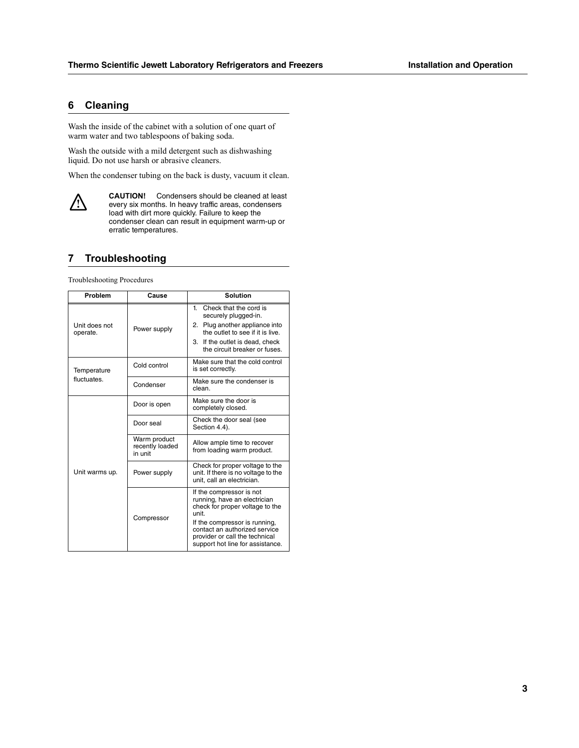## **6 Cleaning**

Wash the inside of the cabinet with a solution of one quart of warm water and two tablespoons of baking soda.

Wash the outside with a mild detergent such as dishwashing liquid. Do not use harsh or abrasive cleaners.

When the condenser tubing on the back is dusty, vacuum it clean.



**CAUTION!** Condensers should be cleaned at least every six months. In heavy traffic areas, condensers load with dirt more quickly. Failure to keep the condenser clean can result in equipment warm-up or erratic temperatures.

## **7 Troubleshooting**

Troubleshooting Procedures

| Problem                   | Cause                                      | <b>Solution</b>                                                                                                                                                                                |
|---------------------------|--------------------------------------------|------------------------------------------------------------------------------------------------------------------------------------------------------------------------------------------------|
| Unit does not<br>operate. | Power supply                               | Check that the cord is<br>1.<br>securely plugged-in.<br>2. Plug another appliance into<br>the outlet to see if it is live.<br>3. If the outlet is dead, check<br>the circuit breaker or fuses. |
| Temperature               | Cold control                               | Make sure that the cold control<br>is set correctly.                                                                                                                                           |
| fluctuates.               | Condenser                                  | Make sure the condenser is<br>clean.                                                                                                                                                           |
|                           | Door is open                               | Make sure the door is<br>completely closed.                                                                                                                                                    |
|                           | Door seal                                  | Check the door seal (see<br>Section 4.4).                                                                                                                                                      |
|                           | Warm product<br>recently loaded<br>in unit | Allow ample time to recover<br>from loading warm product.                                                                                                                                      |
| Unit warms up.            | Power supply                               | Check for proper voltage to the<br>unit. If there is no voltage to the<br>unit, call an electrician.                                                                                           |
|                           | Compressor                                 | If the compressor is not<br>running, have an electrician<br>check for proper voltage to the<br>unit<br>If the compressor is running,                                                           |
|                           |                                            | contact an authorized service<br>provider or call the technical<br>support hot line for assistance.                                                                                            |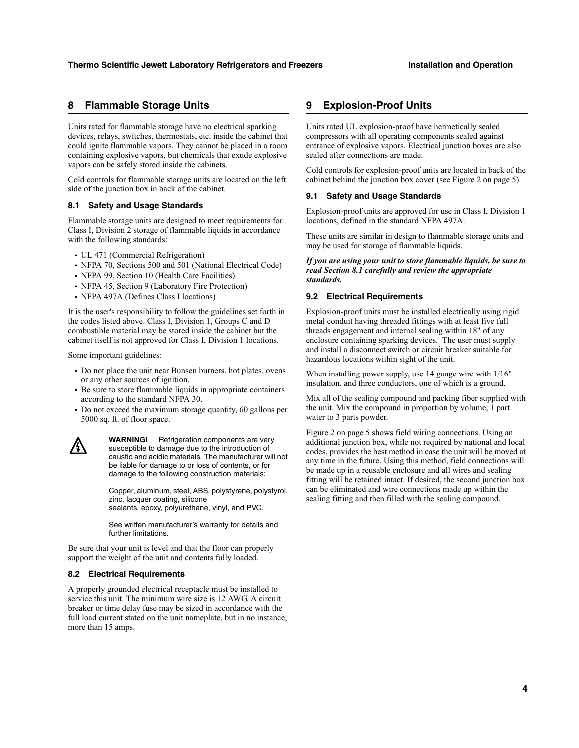## **8 Flammable Storage Units**

Units rated for flammable storage have no electrical sparking devices, relays, switches, thermostats, etc. inside the cabinet that could ignite flammable vapors. They cannot be placed in a room containing explosive vapors, but chemicals that exude explosive vapors can be safely stored inside the cabinets.

Cold controls for flammable storage units are located on the left side of the junction box in back of the cabinet.

#### **8.1 Safety and Usage Standards**

Flammable storage units are designed to meet requirements for Class I, Division 2 storage of flammable liquids in accordance with the following standards:

- **•** UL 471 (Commercial Refrigeration)
- **•** NFPA 70, Sections 500 and 501 (National Electrical Code)
- **•** NFPA 99, Section 10 (Health Care Facilities)
- **•** NFPA 45, Section 9 (Laboratory Fire Protection)
- **•** NFPA 497A (Defines Class I locations)

It is the user's responsibility to follow the guidelines set forth in the codes listed above. Class I, Division 1, Groups C and D combustible material may be stored inside the cabinet but the cabinet itself is not approved for Class I, Division 1 locations.

Some important guidelines:

- **•** Do not place the unit near Bunsen burners, hot plates, ovens or any other sources of ignition.
- **•** Be sure to store flammable liquids in appropriate containers according to the standard NFPA 30.
- **•** Do not exceed the maximum storage quantity, 60 gallons per 5000 sq. ft. of floor space.



**WARNING!** Refrigeration components are very susceptible to damage due to the introduction of caustic and acidic materials. The manufacturer will not be liable for damage to or loss of contents, or for damage to the following construction materials:

Copper, aluminum, steel, ABS, polystyrene, polystyrol, zinc, lacquer coating, silicone sealants, epoxy, polyurethane, vinyl, and PVC.

See written manufacturer's warranty for details and further limitations.

Be sure that your unit is level and that the floor can properly support the weight of the unit and contents fully loaded.

#### **8.2 Electrical Requirements**

A properly grounded electrical receptacle must be installed to service this unit. The minimum wire size is 12 AWG. A circuit breaker or time delay fuse may be sized in accordance with the full load current stated on the unit nameplate, but in no instance, more than 15 amps.

## **9 Explosion-Proof Units**

Units rated UL explosion-proof have hermetically sealed compressors with all operating components sealed against entrance of explosive vapors. Electrical junction boxes are also sealed after connections are made.

Cold controls for explosion-proof units are located in back of the cabinet behind the junction box cover (see Figure 2 on page 5).

#### **9.1 Safety and Usage Standards**

Explosion-proof units are approved for use in Class I, Division 1 locations, defined in the standard NFPA 497A.

These units are similar in design to flammable storage units and may be used for storage of flammable liquids.

*If you are using your unit to store flammable liquids, be sure to read Section 8.1 carefully and review the appropriate standards.*

#### **9.2 Electrical Requirements**

Explosion-proof units must be installed electrically using rigid metal conduit having threaded fittings with at least five full threads engagement and internal sealing within 18" of any enclosure containing sparking devices. The user must supply and install a disconnect switch or circuit breaker suitable for hazardous locations within sight of the unit.

When installing power supply, use 14 gauge wire with 1/16" insulation, and three conductors, one of which is a ground.

Mix all of the sealing compound and packing fiber supplied with the unit. Mix the compound in proportion by volume, 1 part water to 3 parts powder.

Figure 2 on page 5 shows field wiring connections. Using an additional junction box, while not required by national and local codes, provides the best method in case the unit will be moved at any time in the future. Using this method, field connections will be made up in a reusable enclosure and all wires and sealing fitting will be retained intact. If desired, the second junction box can be eliminated and wire connections made up within the sealing fitting and then filled with the sealing compound.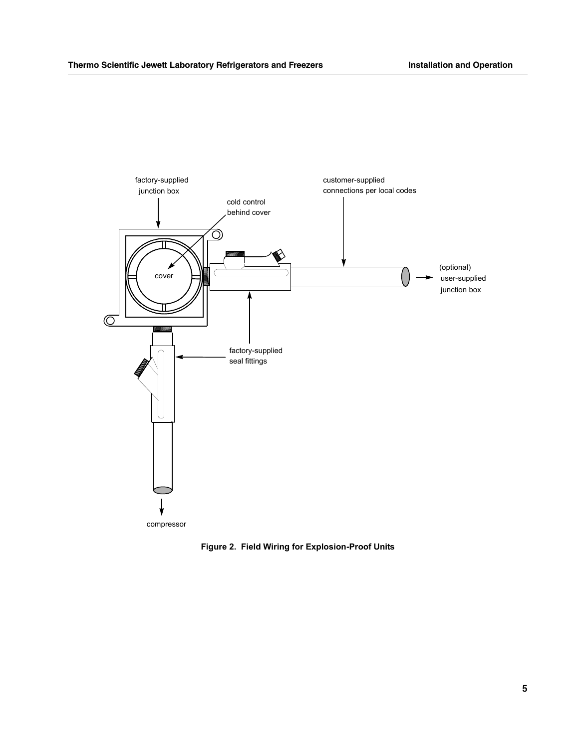

**Figure 2. Field Wiring for Explosion-Proof Units**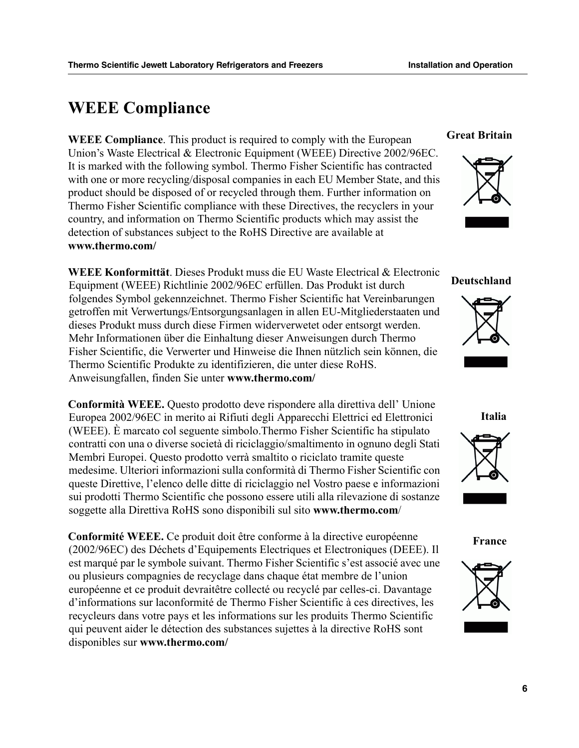# **WEEE Compliance**

**WEEE Compliance**. This product is required to comply with the European Union's Waste Electrical & Electronic Equipment (WEEE) Directive 2002/96EC. It is marked with the following symbol. Thermo Fisher Scientific has contracted with one or more recycling/disposal companies in each EU Member State, and this product should be disposed of or recycled through them. Further information on Thermo Fisher Scientific compliance with these Directives, the recyclers in your country, and information on Thermo Scientific products which may assist the detection of substances subject to the RoHS Directive are available at **www.thermo.com/**

**WEEE Konformittät**. Dieses Produkt muss die EU Waste Electrical & Electronic Equipment (WEEE) Richtlinie 2002/96EC erfüllen. Das Produkt ist durch folgendes Symbol gekennzeichnet. Thermo Fisher Scientific hat Vereinbarungen getroffen mit Verwertungs/Entsorgungsanlagen in allen EU-Mitgliederstaaten und dieses Produkt muss durch diese Firmen widerverwetet oder entsorgt werden. Mehr Informationen über die Einhaltung dieser Anweisungen durch Thermo Fisher Scientific, die Verwerter und Hinweise die Ihnen nützlich sein können, die Thermo Scientific Produkte zu identifizieren, die unter diese RoHS. Anweisungfallen, finden Sie unter **www.thermo.com/**

**Conformità WEEE.** Questo prodotto deve rispondere alla direttiva dell' Unione Europea 2002/96EC in merito ai Rifiuti degli Apparecchi Elettrici ed Elettronici (WEEE). È marcato col seguente simbolo.Thermo Fisher Scientific ha stipulato contratti con una o diverse società di riciclaggio/smaltimento in ognuno degli Stati Membri Europei. Questo prodotto verrà smaltito o riciclato tramite queste medesime. Ulteriori informazioni sulla conformità di Thermo Fisher Scientific con queste Direttive, l'elenco delle ditte di riciclaggio nel Vostro paese e informazioni sui prodotti Thermo Scientific che possono essere utili alla rilevazione di sostanze soggette alla Direttiva RoHS sono disponibili sul sito **www.thermo.com**/

**Conformité WEEE.** Ce produit doit être conforme à la directive européenne (2002/96EC) des Déchets d'Equipements Electriques et Electroniques (DEEE). Il est marqué par le symbole suivant. Thermo Fisher Scientific s'est associé avec une ou plusieurs compagnies de recyclage dans chaque état membre de l'union européenne et ce produit devraitêtre collecté ou recyclé par celles-ci. Davantage d'informations sur laconformité de Thermo Fisher Scientific à ces directives, les recycleurs dans votre pays et les informations sur les produits Thermo Scientific qui peuvent aider le détection des substances sujettes à la directive RoHS sont disponibles sur **www.thermo.com/**

## **Great Britain**



**Deutschland**



**Italia**



**France**

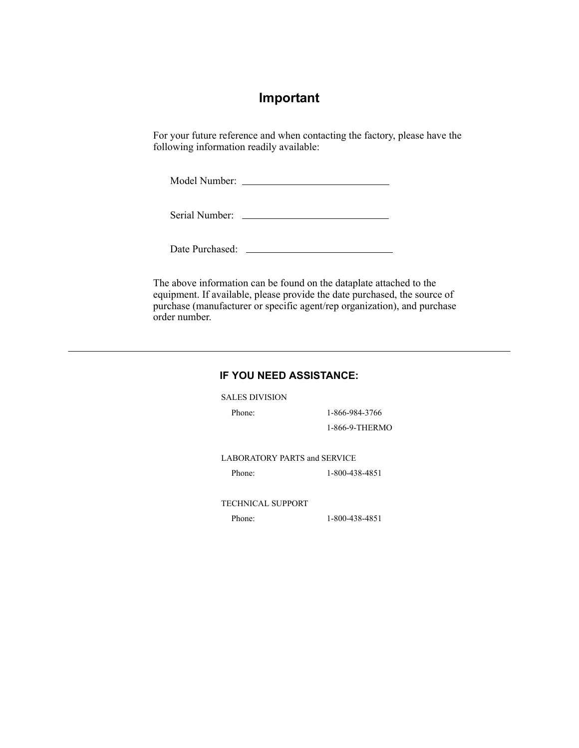# **Important**

For your future reference and when contacting the factory, please have the following information readily available:

Model Number:

Serial Number:

Date Purchased:

The above information can be found on the dataplate attached to the equipment. If available, please provide the date purchased, the source of purchase (manufacturer or specific agent/rep organization), and purchase order number.

## **IF YOU NEED ASSISTANCE:**

SALES DIVISION

Phone: 1-866-984-3766 1-866-9-THERMO

LABORATORY PARTS and SERVICE

Phone: 1-800-438-4851

TECHNICAL SUPPORT

Phone: 1-800-438-4851